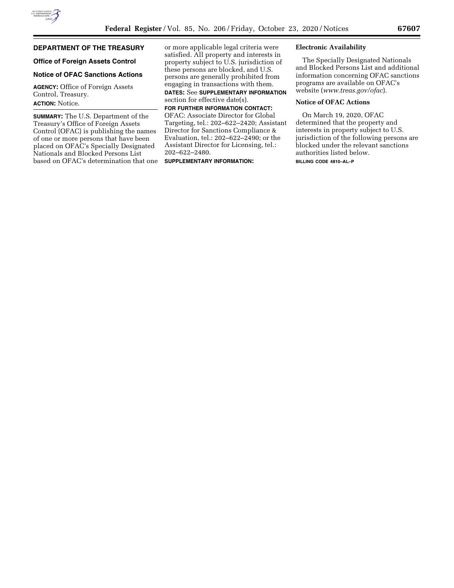# **DEPARTMENT OF THE TREASURY**

## **Office of Foreign Assets Control**

# **Notice of OFAC Sanctions Actions**

**AGENCY:** Office of Foreign Assets Control, Treasury. **ACTION:** Notice.

**SUMMARY:** The U.S. Department of the Treasury's Office of Foreign Assets Control (OFAC) is publishing the names of one or more persons that have been placed on OFAC's Specially Designated Nationals and Blocked Persons List based on OFAC's determination that one or more applicable legal criteria were satisfied. All property and interests in property subject to U.S. jurisdiction of these persons are blocked, and U.S. persons are generally prohibited from engaging in transactions with them.

**DATES:** See **SUPPLEMENTARY INFORMATION** section for effective date(s).

**FOR FURTHER INFORMATION CONTACT:**  OFAC: Associate Director for Global Targeting, tel.: 202–622–2420; Assistant Director for Sanctions Compliance & Evaluation, tel.: 202–622–2490; or the Assistant Director for Licensing, tel.: 202–622–2480.

**SUPPLEMENTARY INFORMATION:** 

#### **Electronic Availability**

The Specially Designated Nationals and Blocked Persons List and additional information concerning OFAC sanctions programs are available on OFAC's website (*[www.treas.gov/ofac](http://www.treas.gov/ofac)*).

## **Notice of OFAC Actions**

On March 19, 2020, OFAC determined that the property and interests in property subject to U.S. jurisdiction of the following persons are blocked under the relevant sanctions authorities listed below.

**BILLING CODE 4810–AL–P**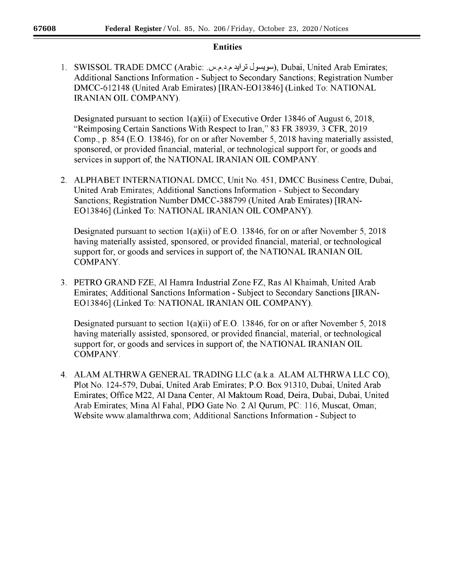# **Entities**

1. SWISSOL TRADE DMCC (Arabic: سويسول ترايد م د.م س.), Dubai, United Arab Emirates; Additional Sanctions Information - Subject to Secondary Sanctions; Registration Number DMCC-612148 (United Arab Emirates) [IRAN-E013846] (Linked To: NATIONAL **IRANIAN OIL COMPANY).** 

Designated pursuant to section 1(a)(ii) of Executive Order 13846 of August 6, 2018, "Reimposing Certain Sanctions With Respect to Iran," 83 FR 38939, 3 CFR, 2019 Comp., p. 854 (E.O. 13846), for on or after November 5, 2018 having materially assisted, sponsored, or provided financial, material, or technological support for, or goods and services in support of, the NATIONAL IRANIAN OIL COMPANY.

2. ALPHABET INTERNATIONAL DMCC, Unit No. 451, DMCC Business Centre, Dubai, United Arab Emirates; Additional Sanctions Information - Subject to Secondary Sanctions; Registration Number DMCC-388799 (United Arab Emirates) [IRAN-EO13846] (Linked To: NATIONAL IRANIAN OIL COMPANY).

Designated pursuant to section  $1(a)(ii)$  of E.O. 13846, for on or after November 5, 2018 having materially assisted, sponsored, or provided financial, material, or technological support for, or goods and services in support of, the NATIONAL IRANIAN OIL COMPANY.

3. PETRO GRAND FZE, Al Hamra Industrial Zone FZ, Ras Al Khaimah, United Arab Emirates; Additional Sanctions Information - Subject to Secondary Sanctions [IRAN-EO13846] (Linked To: NATIONAL IRANIAN OIL COMPANY).

Designated pursuant to section  $1(a)(ii)$  of E.O. 13846, for on or after November 5, 2018 having materially assisted, sponsored, or provided financial, material, or technological support for, or goods and services in support of, the NATIONAL IRANIAN OIL COMPANY.

4. ALAM ALTHRWA GENERAL TRADING LLC (a.k.a. ALAM ALTHRWA LLC CO), Plot No. 124-579, Dubai, United Arab Emirates; P.O. Box 91310, Dubai, United Arab Emirates; Office M22, Al Dana Center, Al Maktoum Road, Deira, Dubai, Dubai, United Arab Emirates; Mina Al Fahal, PDO Gate No. 2 Al Qurum, PC: 116, Muscat, Oman; Website www.alamalthrwa.com; Additional Sanctions Information - Subject to